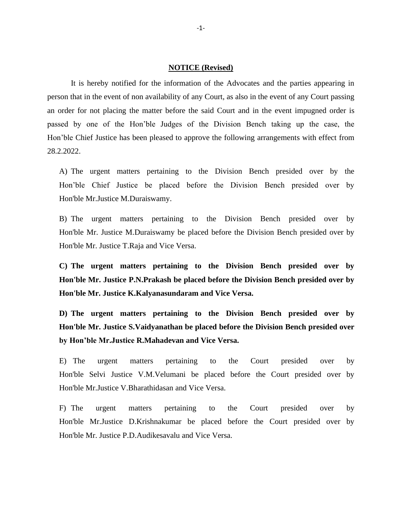## **NOTICE (Revised)**

It is hereby notified for the information of the Advocates and the parties appearing in person that in the event of non availability of any Court, as also in the event of any Court passing an order for not placing the matter before the said Court and in the event impugned order is passed by one of the Hon'ble Judges of the Division Bench taking up the case, the Hon'ble Chief Justice has been pleased to approve the following arrangements with effect from 28.2.2022.

A) The urgent matters pertaining to the Division Bench presided over by the Hon'ble Chief Justice be placed before the Division Bench presided over by Hon'ble Mr.Justice M.Duraiswamy.

B) The urgent matters pertaining to the Division Bench presided over by Hon'ble Mr. Justice M.Duraiswamy be placed before the Division Bench presided over by Hon'ble Mr. Justice T.Raja and Vice Versa.

**C) The urgent matters pertaining to the Division Bench presided over by Hon'ble Mr. Justice P.N.Prakash be placed before the Division Bench presided over by Hon'ble Mr. Justice K.Kalyanasundaram and Vice Versa.** 

**D) The urgent matters pertaining to the Division Bench presided over by Hon'ble Mr. Justice S.Vaidyanathan be placed before the Division Bench presided over by Hon'ble Mr.Justice R.Mahadevan and Vice Versa.** 

E) The urgent matters pertaining to the Court presided over by Hon'ble Selvi Justice V.M.Velumani be placed before the Court presided over by Hon'ble Mr.Justice V.Bharathidasan and Vice Versa.

F) The urgent matters pertaining to the Court presided over by Hon'ble Mr.Justice D.Krishnakumar be placed before the Court presided over by Hon'ble Mr. Justice P.D.Audikesavalu and Vice Versa.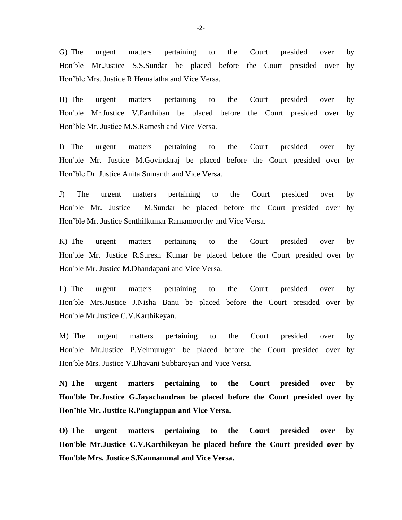G) The urgent matters pertaining to the Court presided over by Hon'ble Mr.Justice S.S.Sundar be placed before the Court presided over by Hon'ble Mrs. Justice R.Hemalatha and Vice Versa.

H) The urgent matters pertaining to the Court presided over by Hon'ble Mr.Justice V.Parthiban be placed before the Court presided over by Hon'ble Mr. Justice M.S.Ramesh and Vice Versa.

I) The urgent matters pertaining to the Court presided over by Hon'ble Mr. Justice M.Govindaraj be placed before the Court presided over by Hon'ble Dr. Justice Anita Sumanth and Vice Versa.

J) The urgent matters pertaining to the Court presided over by Hon'ble Mr. Justice M.Sundar be placed before the Court presided over by Hon'ble Mr. Justice Senthilkumar Ramamoorthy and Vice Versa.

K) The urgent matters pertaining to the Court presided over by Hon'ble Mr. Justice R.Suresh Kumar be placed before the Court presided over by Hon'ble Mr. Justice M.Dhandapani and Vice Versa.

L) The urgent matters pertaining to the Court presided over by Hon'ble Mrs.Justice J.Nisha Banu be placed before the Court presided over by Hon'ble Mr.Justice C.V.Karthikeyan.

M) The urgent matters pertaining to the Court presided over by Hon'ble Mr.Justice P.Velmurugan be placed before the Court presided over by Hon'ble Mrs. Justice V.Bhavani Subbaroyan and Vice Versa.

**N) The urgent matters pertaining to the Court presided over by Hon'ble Dr.Justice G.Jayachandran be placed before the Court presided over by Hon'ble Mr. Justice R.Pongiappan and Vice Versa.** 

**O) The urgent matters pertaining to the Court presided over by Hon'ble Mr.Justice C.V.Karthikeyan be placed before the Court presided over by Hon'ble Mrs. Justice S.Kannammal and Vice Versa.**